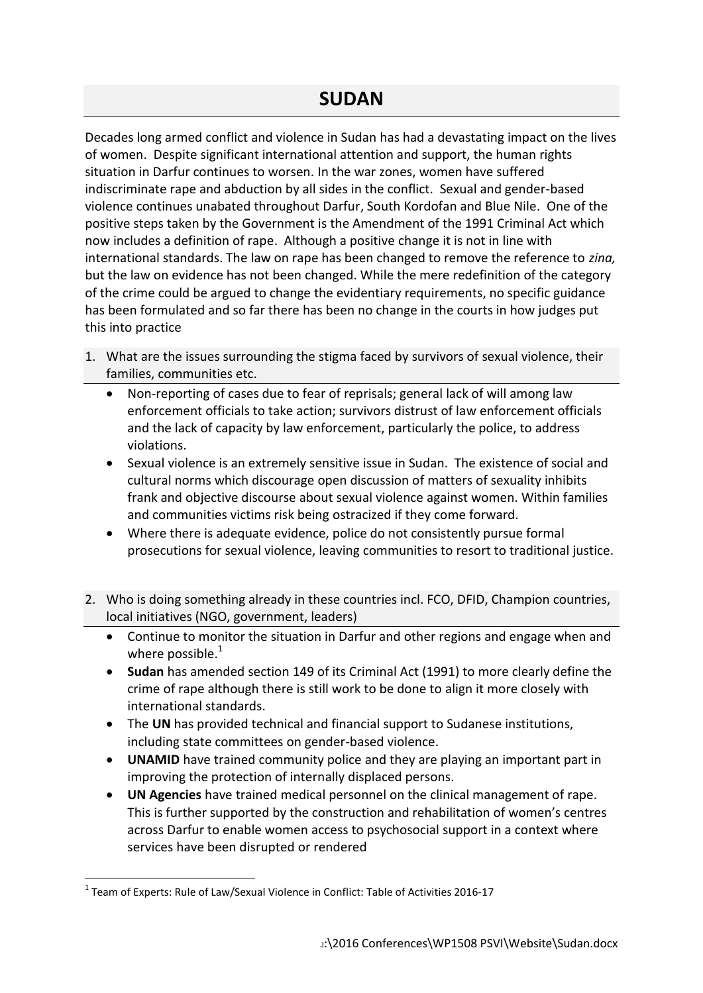Decades long armed conflict and violence in Sudan has had a devastating impact on the lives of women. Despite significant international attention and support, the human rights situation in Darfur continues to worsen. In the war zones, women have suffered indiscriminate rape and abduction by all sides in the conflict. Sexual and gender-based violence continues unabated throughout Darfur, South Kordofan and Blue Nile. One of the positive steps taken by the Government is the Amendment of the 1991 Criminal Act which now includes a definition of rape. Although a positive change it is not in line with international standards. The law on rape has been changed to remove the reference to *zina,* but the law on evidence has not been changed. While the mere redefinition of the category of the crime could be argued to change the evidentiary requirements, no specific guidance has been formulated and so far there has been no change in the courts in how judges put this into practice

- 1. What are the issues surrounding the stigma faced by survivors of sexual violence, their families, communities etc.
	- Non-reporting of cases due to fear of reprisals; general lack of will among law enforcement officials to take action; survivors distrust of law enforcement officials and the lack of capacity by law enforcement, particularly the police, to address violations.
	- Sexual violence is an extremely sensitive issue in Sudan. The existence of social and cultural norms which discourage open discussion of matters of sexuality inhibits frank and objective discourse about sexual violence against women. Within families and communities victims risk being ostracized if they come forward.
	- Where there is adequate evidence, police do not consistently pursue formal prosecutions for sexual violence, leaving communities to resort to traditional justice.
- 2. Who is doing something already in these countries incl. FCO, DFID, Champion countries, local initiatives (NGO, government, leaders)
	- Continue to monitor the situation in Darfur and other regions and engage when and where possible. $1$
	- **Sudan** has amended section 149 of its Criminal Act (1991) to more clearly define the crime of rape although there is still work to be done to align it more closely with international standards.
	- The **UN** has provided technical and financial support to Sudanese institutions, including state committees on gender-based violence.
	- **UNAMID** have trained community police and they are playing an important part in improving the protection of internally displaced persons.
	- **UN Agencies** have trained medical personnel on the clinical management of rape. This is further supported by the construction and rehabilitation of women's centres across Darfur to enable women access to psychosocial support in a context where services have been disrupted or rendered

1

 $1$  Team of Experts: Rule of Law/Sexual Violence in Conflict: Table of Activities 2016-17